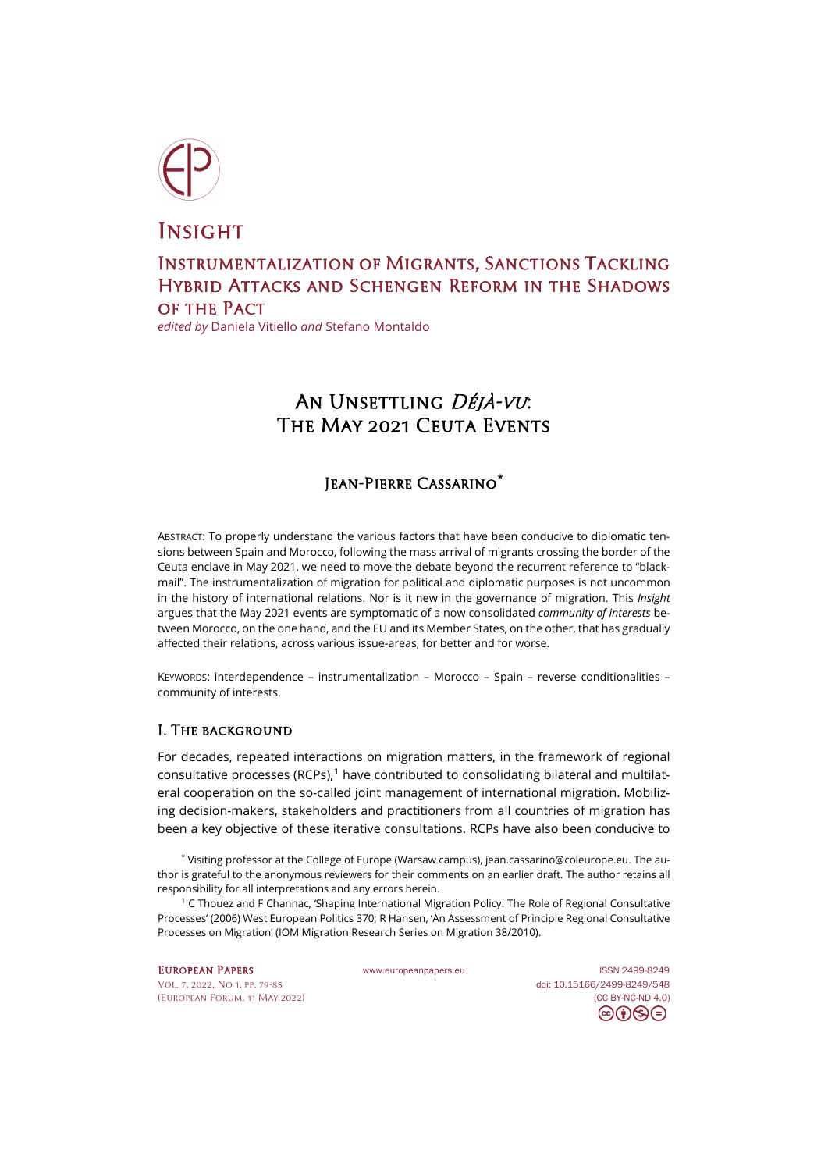

**INSIGHT** 

## Instrumentalization of Migrants, Sanctions Tackling Hybrid Attacks and Schengen Reform in the Shadows of the Pact

*edited by* Daniela Vitiello *and* Stefano Montaldo

# AN UNSETTLING DÉJÀ-VU: The May 2021 Ceuta Events

## Jean-Pierre Cassarino**[\\*](#page-0-0)**

ABSTRACT: To properly understand the various factors that have been conducive to diplomatic tensions between Spain and Morocco, following the mass arrival of migrants crossing the border of the Ceuta enclave in May 2021, we need to move the debate beyond the recurrent reference to "blackmail". The instrumentalization of migration for political and diplomatic purposes is not uncommon in the history of international relations. Nor is it new in the governance of migration. This *Insight* argues that the May 2021 events are symptomatic of a now consolidated *community of interests* between Morocco, on the one hand, and the EU and its Member States, on the other, that has gradually affected their relations, across various issue-areas, for better and for worse.

KEYWORDS: interdependence – instrumentalization – Morocco – Spain – reverse conditionalities – community of interests.

### I. The background

For decades, repeated interactions on migration matters, in the framework of regional consultative processes (RCPs), [1](#page-0-1) have contributed to consolidating bilateral and multilateral cooperation on the so-called joint management of international migration. Mobilizing decision-makers, stakeholders and practitioners from all countries of migration has been a key objective of these iterative consultations. RCPs have also been conducive to

<span id="page-0-0"></span>\* Visiting professor at the College of Europe (Warsaw campus), jean.cassarino@coleurope.eu. The author is grateful to the anonymous reviewers for their comments on an earlier draft. The author retains all responsibility for all interpretations and any errors herein.

<span id="page-0-1"></span><sup>1</sup> C Thouez and F Channac, 'Shaping International Migration Policy: The Role of Regional Consultative Processes' (2006) West European Politics 370; R Hansen, 'An Assessment of Principle Regional Consultative Processes on Migration' (IOM Migration Research Series on Migration 38/2010).

[Vol. 7, 2022, No 1,](https://www.europeanpapers.eu/en/content/e-journal/EP_eJ_2022_1) pp. 79-85 doi[: 10.15166/2499-8249/548](https://search.datacite.org/works/10.15166/2499-8249/548) [\(European](http://www.europeanpapers.eu/en/content/european-forum) Forum, 11 May 2022) [\(CC BY-NC-ND 4.0\)](https://creativecommons.org/licenses/by-nc-nd/4.0/)

EUROPEAN PAPERS [www.europeanpapers.eu](http://www.europeanpapers.eu/) ISS[N 2499-8249](https://search.datacite.org/works?query=www.europeanpapers.eu) ⊝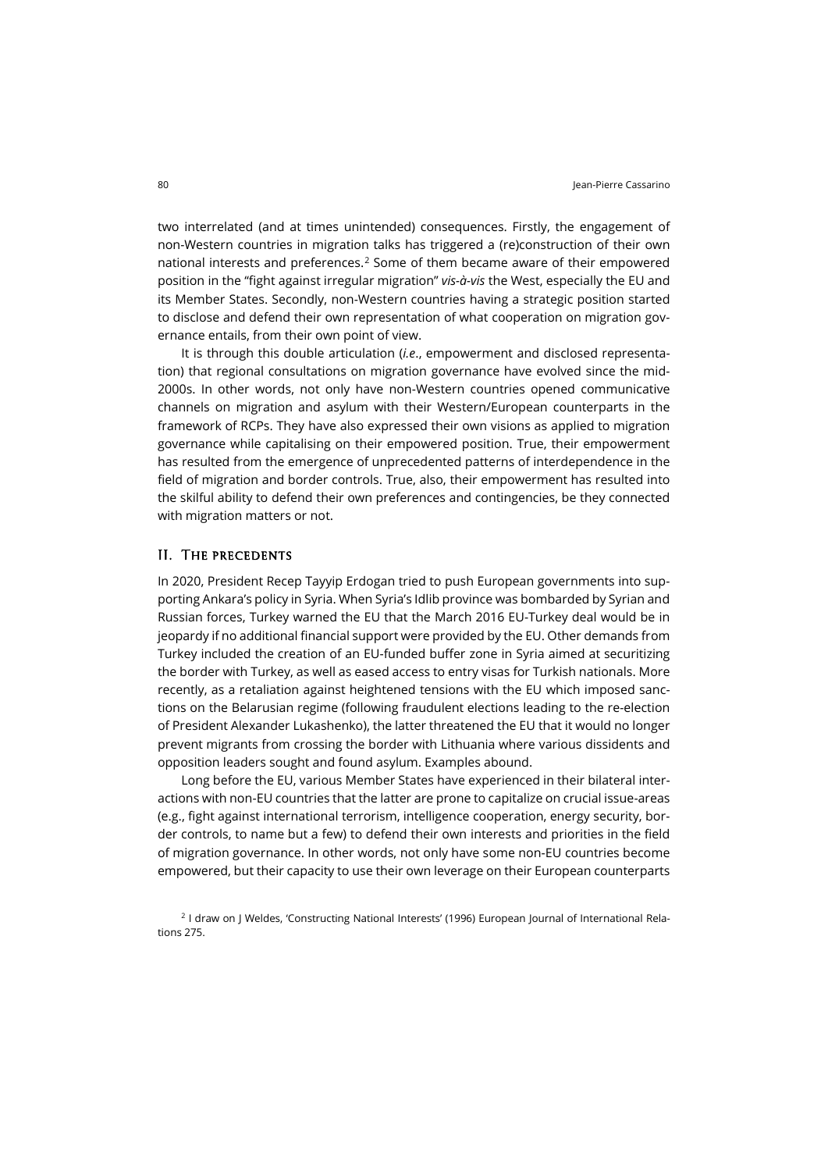two interrelated (and at times unintended) consequences. Firstly, the engagement of non-Western countries in migration talks has triggered a (re)construction of their own national interests and preferences. [2](#page-1-0) Some of them became aware of their empowered position in the "fight against irregular migration" *vis-à-vis* the West, especially the EU and its Member States. Secondly, non-Western countries having a strategic position started to disclose and defend their own representation of what cooperation on migration governance entails, from their own point of view.

It is through this double articulation (*i.e*., empowerment and disclosed representation) that regional consultations on migration governance have evolved since the mid-2000s. In other words, not only have non-Western countries opened communicative channels on migration and asylum with their Western/European counterparts in the framework of RCPs. They have also expressed their own visions as applied to migration governance while capitalising on their empowered position. True, their empowerment has resulted from the emergence of unprecedented patterns of interdependence in the field of migration and border controls. True, also, their empowerment has resulted into the skilful ability to defend their own preferences and contingencies, be they connected with migration matters or not.

#### II. The precedents

In 2020, President Recep Tayyip Erdogan tried to push European governments into supporting Ankara's policy in Syria. When Syria's Idlib province was bombarded by Syrian and Russian forces, Turkey warned the EU that the March 2016 EU-Turkey deal would be in jeopardy if no additional financial support were provided by the EU. Other demands from Turkey included the creation of an EU-funded buffer zone in Syria aimed at securitizing the border with Turkey, as well as eased access to entry visas for Turkish nationals. More recently, as a retaliation against heightened tensions with the EU which imposed sanctions on the Belarusian regime (following fraudulent elections leading to the re-election of President Alexander Lukashenko), the latter threatened the EU that it would no longer prevent migrants from crossing the border with Lithuania where various dissidents and opposition leaders sought and found asylum. Examples abound.

Long before the EU, various Member States have experienced in their bilateral interactions with non-EU countries that the latter are prone to capitalize on crucial issue-areas (e.g., fight against international terrorism, intelligence cooperation, energy security, border controls, to name but a few) to defend their own interests and priorities in the field of migration governance. In other words, not only have some non-EU countries become empowered, but their capacity to use their own leverage on their European counterparts

<span id="page-1-0"></span><sup>2</sup> I draw on J Weldes, 'Constructing National Interests' (1996) European Journal of International Relations 275.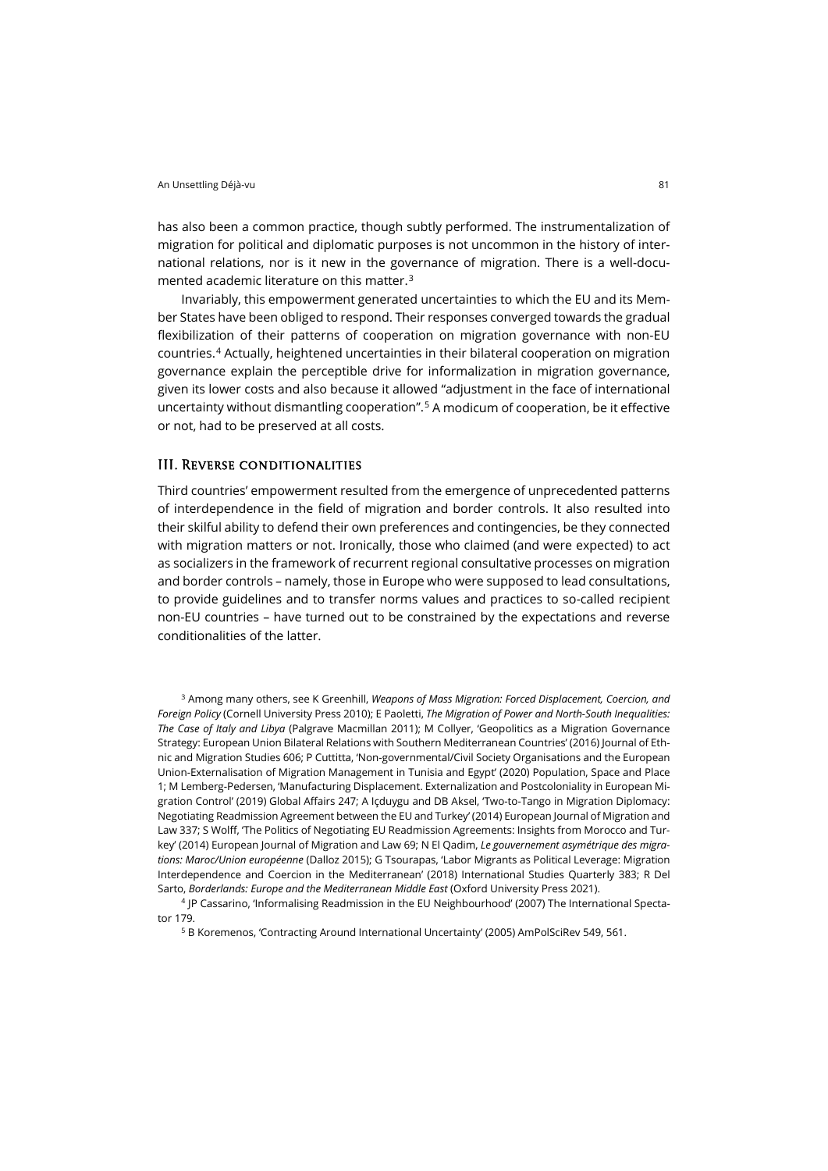has also been a common practice, though subtly performed. The instrumentalization of migration for political and diplomatic purposes is not uncommon in the history of international relations, nor is it new in the governance of migration. There is a well-documented academic literature on this matter. [3](#page-2-0)

Invariably, this empowerment generated uncertainties to which the EU and its Member States have been obliged to respond. Their responses converged towards the gradual flexibilization of their patterns of cooperation on migration governance with non-EU countries. [4](#page-2-1) Actually, heightened uncertainties in their bilateral cooperation on migration governance explain the perceptible drive for informalization in migration governance, given its lower costs and also because it allowed "adjustment in the face of international uncertainty without dismantling cooperation".[5](#page-2-2) A modicum of cooperation, be it effective or not, had to be preserved at all costs.

#### III. Reverse conditionalities

Third countries' empowerment resulted from the emergence of unprecedented patterns of interdependence in the field of migration and border controls. It also resulted into their skilful ability to defend their own preferences and contingencies, be they connected with migration matters or not. Ironically, those who claimed (and were expected) to act as socializers in the framework of recurrent regional consultative processes on migration and border controls – namely, those in Europe who were supposed to lead consultations, to provide guidelines and to transfer norms values and practices to so-called recipient non-EU countries – have turned out to be constrained by the expectations and reverse conditionalities of the latter.

<span id="page-2-0"></span><sup>3</sup> Among many others, see K Greenhill, *Weapons of Mass Migration: Forced Displacement, Coercion, and Foreign Policy* (Cornell University Press 2010); E Paoletti, *The Migration of Power and North-South Inequalities: The Case of Italy and Libya* (Palgrave Macmillan 2011); M Collyer, 'Geopolitics as a Migration Governance Strategy: European Union Bilateral Relations with Southern Mediterranean Countries' (2016) Journal of Ethnic and Migration Studies 606; P Cuttitta, 'Non-governmental/Civil Society Organisations and the European Union-Externalisation of Migration Management in Tunisia and Egypt' (2020) Population, Space and Place 1; M Lemberg-Pedersen, 'Manufacturing Displacement. Externalization and Postcoloniality in European Migration Control' (2019) Global Affairs 247; A Içduygu and DB Aksel, 'Two-to-Tango in Migration Diplomacy: Negotiating Readmission Agreement between the EU and Turkey' (2014) European Journal of Migration and Law 337; S Wolff, 'The Politics of Negotiating EU Readmission Agreements: Insights from Morocco and Turkey' (2014) European Journal of Migration and Law 69; N El Qadim, *Le gouvernement asymétrique des migrations: Maroc/Union européenne* (Dalloz 2015); G Tsourapas, 'Labor Migrants as Political Leverage: Migration Interdependence and Coercion in the Mediterranean' (2018) International Studies Quarterly 383; R Del Sarto, *Borderlands: Europe and the Mediterranean Middle East* (Oxford University Press 2021).

<span id="page-2-2"></span><span id="page-2-1"></span><sup>4</sup> JP Cassarino, 'Informalising Readmission in the EU Neighbourhood' (2007) The International Spectator 179.

<sup>5</sup> B Koremenos, 'Contracting Around International Uncertainty' (2005) AmPolSciRev 549, 561.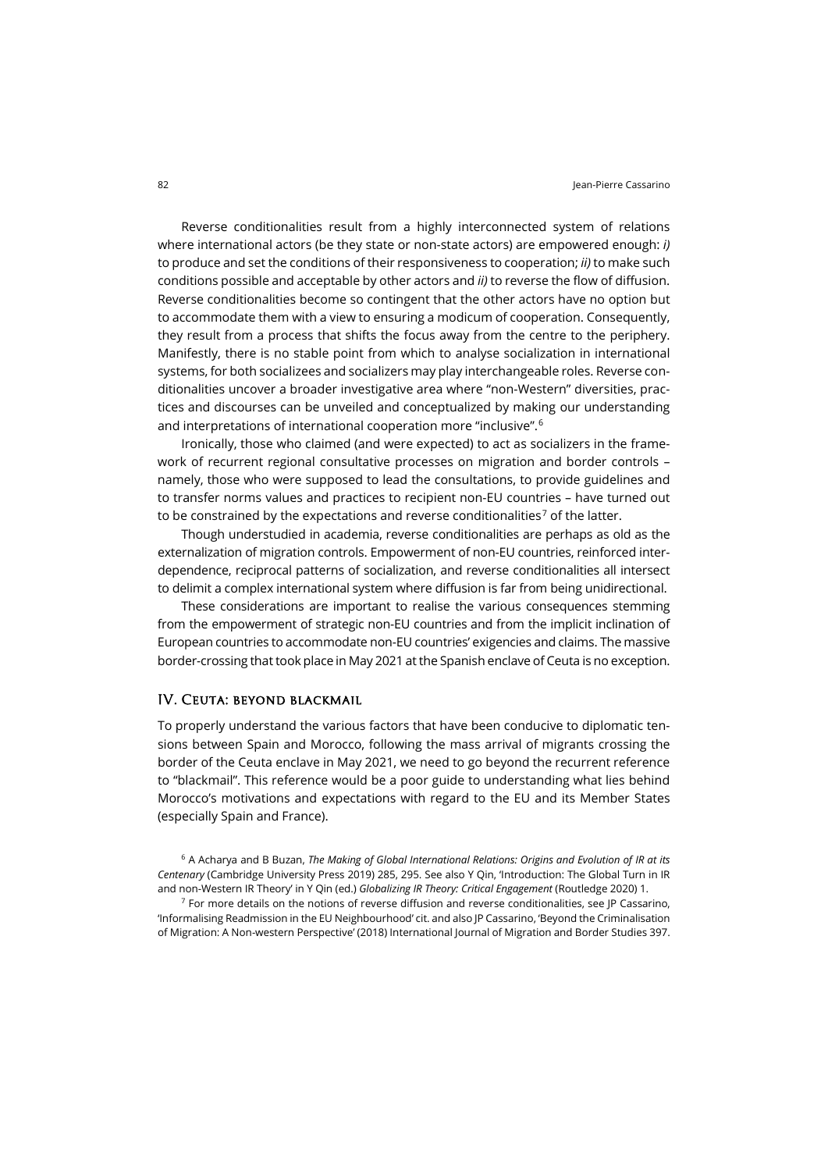Reverse conditionalities result from a highly interconnected system of relations where international actors (be they state or non-state actors) are empowered enough: *i)* to produce and set the conditions of their responsiveness to cooperation; *ii)* to make such conditions possible and acceptable by other actors and *ii)* to reverse the flow of diffusion. Reverse conditionalities become so contingent that the other actors have no option but to accommodate them with a view to ensuring a modicum of cooperation. Consequently, they result from a process that shifts the focus away from the centre to the periphery. Manifestly, there is no stable point from which to analyse socialization in international systems, for both socializees and socializers may play interchangeable roles. Reverse conditionalities uncover a broader investigative area where "non-Western" diversities, practices and discourses can be unveiled and conceptualized by making our understanding and interpretations of international cooperation more "inclusive". [6](#page-3-0)

Ironically, those who claimed (and were expected) to act as socializers in the framework of recurrent regional consultative processes on migration and border controls – namely, those who were supposed to lead the consultations, to provide guidelines and to transfer norms values and practices to recipient non-EU countries – have turned out to be constrained by the expectations and reverse conditionalities<sup>[7](#page-3-1)</sup> of the latter.

Though understudied in academia, reverse conditionalities are perhaps as old as the externalization of migration controls. Empowerment of non-EU countries, reinforced interdependence, reciprocal patterns of socialization, and reverse conditionalities all intersect to delimit a complex international system where diffusion is far from being unidirectional.

These considerations are important to realise the various consequences stemming from the empowerment of strategic non-EU countries and from the implicit inclination of European countries to accommodate non-EU countries' exigencies and claims. The massive border-crossing that took place in May 2021 at the Spanish enclave of Ceuta is no exception.

#### IV. Ceuta: beyond blackmail

To properly understand the various factors that have been conducive to diplomatic tensions between Spain and Morocco, following the mass arrival of migrants crossing the border of the Ceuta enclave in May 2021, we need to go beyond the recurrent reference to "blackmail". This reference would be a poor guide to understanding what lies behind Morocco's motivations and expectations with regard to the EU and its Member States (especially Spain and France).

<span id="page-3-0"></span><sup>6</sup> A Acharya and B Buzan, *The Making of Global International Relations: Origins and Evolution of IR at its Centenary* (Cambridge University Press 2019) 285, 295. See also Y Qin, 'Introduction: The Global Turn in IR and non-Western IR Theory' in Y Qin (ed.) *Globalizing IR Theory: Critical Engagement* (Routledge 2020) 1.

<span id="page-3-1"></span> $7$  For more details on the notions of reverse diffusion and reverse conditionalities, see JP Cassarino, 'Informalising Readmission in the EU Neighbourhood' cit. and also JP Cassarino, 'Beyond the Criminalisation of Migration: A Non-western Perspective' (2018) International Journal of Migration and Border Studies 397.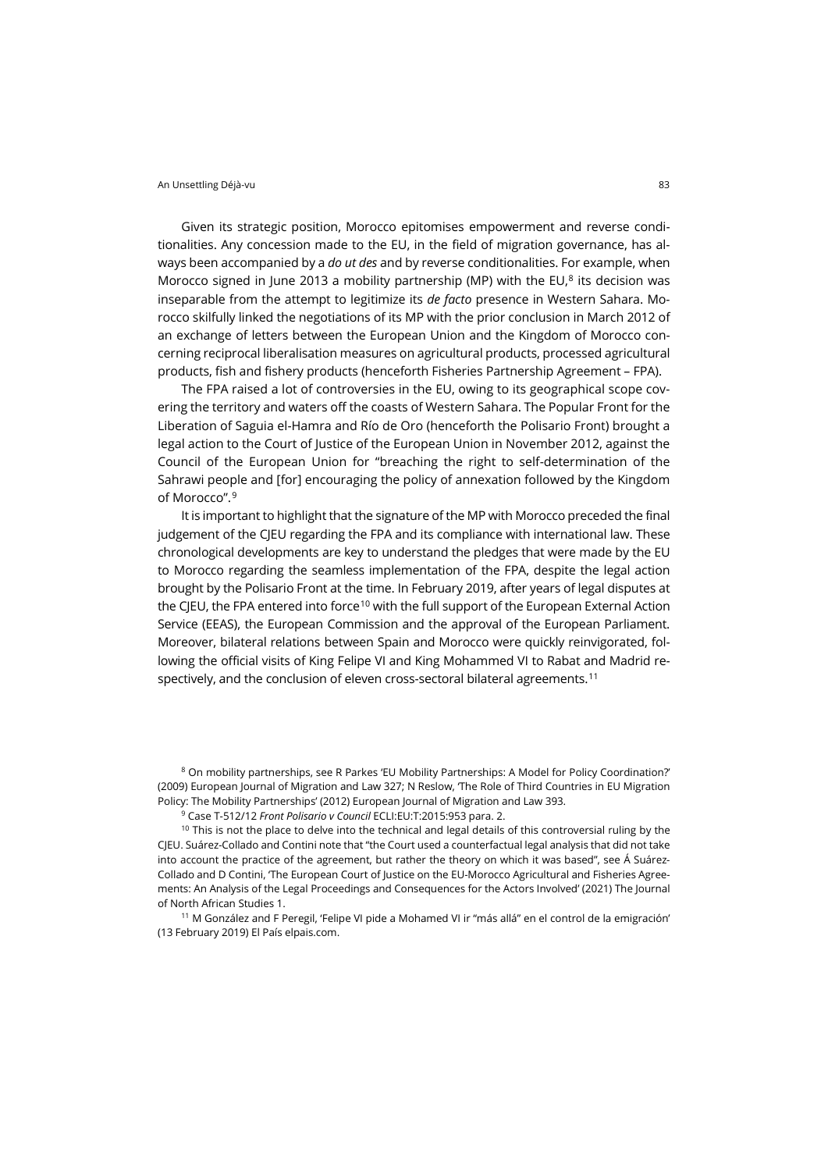Given its strategic position, Morocco epitomises empowerment and reverse conditionalities. Any concession made to the EU, in the field of migration governance, has always been accompanied by a *do ut des* and by reverse conditionalities. For example, when Morocco signed in June 2013 a mobility partnership (MP) with the EU, $^8$  $^8$  its decision was inseparable from the attempt to legitimize its *de facto* presence in Western Sahara. Morocco skilfully linked the negotiations of its MP with the prior conclusion in March 2012 of an exchange of letters between the European Union and the Kingdom of Morocco concerning reciprocal liberalisation measures on agricultural products, processed agricultural products, fish and fishery products (henceforth Fisheries Partnership Agreement – FPA).

The FPA raised a lot of controversies in the EU, owing to its geographical scope covering the territory and waters off the coasts of Western Sahara. The Popular Front for the Liberation of Saguia el-Hamra and Río de Oro (henceforth the Polisario Front) brought a legal action to the Court of Justice of the European Union in November 2012, against the Council of the European Union for "breaching the right to self-determination of the Sahrawi people and [for] encouraging the policy of annexation followed by the Kingdom of Morocco".[9](#page-4-1)

It is important to highlight that the signature of the MP with Morocco preceded the final judgement of the CJEU regarding the FPA and its compliance with international law. These chronological developments are key to understand the pledges that were made by the EU to Morocco regarding the seamless implementation of the FPA, despite the legal action brought by the Polisario Front at the time. In February 2019, after years of legal disputes at the CJEU, the FPA entered into force<sup>[10](#page-4-2)</sup> with the full support of the European External Action Service (EEAS), the European Commission and the approval of the European Parliament. Moreover, bilateral relations between Spain and Morocco were quickly reinvigorated, following the official visits of King Felipe VI and King Mohammed VI to Rabat and Madrid respectively, and the conclusion of eleven cross-sectoral bilateral agreements. [11](#page-4-3)

<span id="page-4-0"></span><sup>8</sup> On mobility partnerships, see R Parkes 'EU Mobility Partnerships: A Model for Policy Coordination?' (2009) European Journal of Migration and Law 327; N Reslow, 'The Role of Third Countries in EU Migration Policy: The Mobility Partnerships' (2012) European Journal of Migration and Law 393.

<sup>9</sup> Case T-512/12 *Front Polisario v Council* ECLI:EU:T:2015:953 para. 2.

<span id="page-4-2"></span><span id="page-4-1"></span> $10$  This is not the place to delve into the technical and legal details of this controversial ruling by the CJEU. Suárez-Collado and Contini note that "the Court used a counterfactual legal analysis that did not take into account the practice of the agreement, but rather the theory on which it was based", see Á Suárez-Collado and D Contini, 'The European Court of Justice on the EU-Morocco Agricultural and Fisheries Agreements: An Analysis of the Legal Proceedings and Consequences for the Actors Involved' (2021) The Journal of North African Studies 1.

<span id="page-4-3"></span><sup>11</sup> M González and F Peregil, 'Felipe VI pide a Mohamed VI ir "más allá" en el control de la emigración' (13 February 2019) El País [elpais.com.](https://elpais.com/politica/2019/02/13/actualidad/1550065442_029612.html)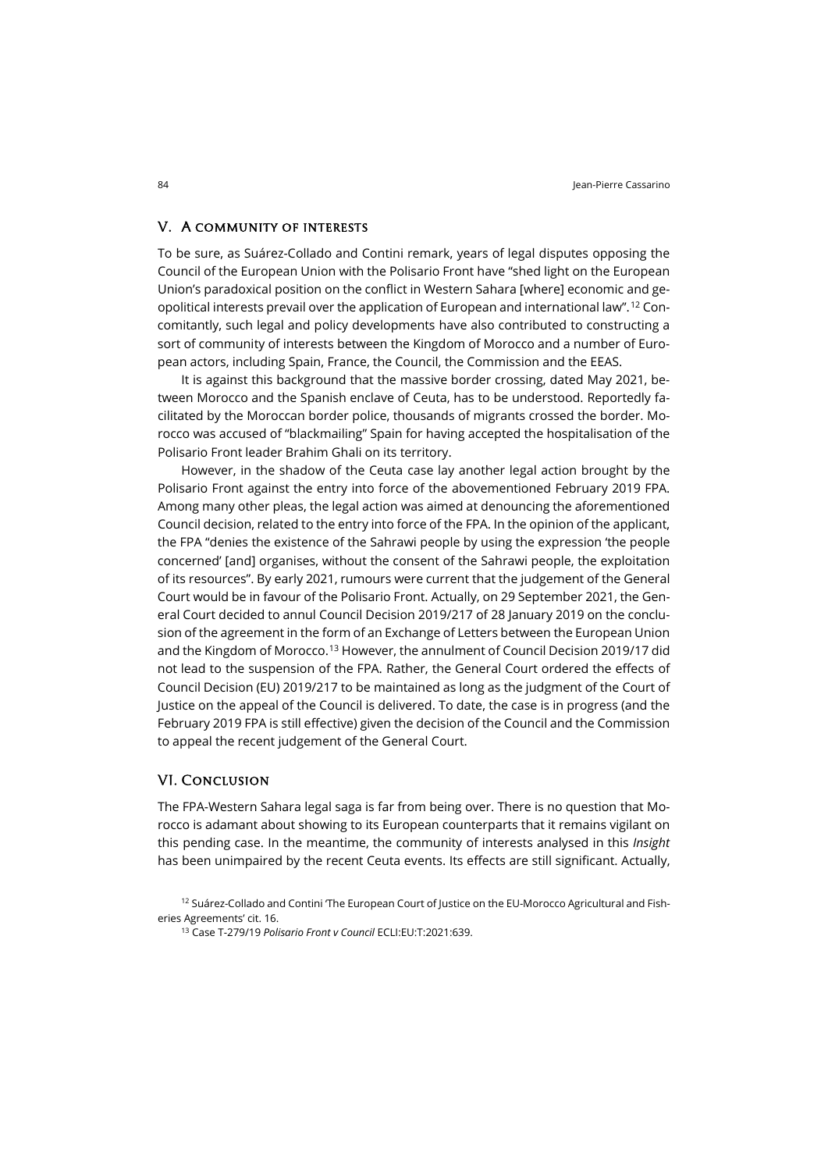#### V. A community of interests

To be sure, as Suárez-Collado and Contini remark, years of legal disputes opposing the Council of the European Union with the Polisario Front have "shed light on the European Union's paradoxical position on the conflict in Western Sahara [where] economic and geopolitical interests prevail over the application of European and international law".[12](#page-5-0) Concomitantly, such legal and policy developments have also contributed to constructing a sort of community of interests between the Kingdom of Morocco and a number of European actors, including Spain, France, the Council, the Commission and the EEAS.

It is against this background that the massive border crossing, dated May 2021, between Morocco and the Spanish enclave of Ceuta, has to be understood. Reportedly facilitated by the Moroccan border police, thousands of migrants crossed the border. Morocco was accused of "blackmailing" Spain for having accepted the hospitalisation of the Polisario Front leader Brahim Ghali on its territory.

However, in the shadow of the Ceuta case lay another legal action brought by the Polisario Front against the entry into force of the abovementioned February 2019 FPA. Among many other pleas, the legal action was aimed at denouncing the aforementioned Council decision, related to the entry into force of the FPA. In the opinion of the applicant, the FPA "denies the existence of the Sahrawi people by using the expression 'the people concerned' [and] organises, without the consent of the Sahrawi people, the exploitation of its resources". By early 2021, rumours were current that the judgement of the General Court would be in favour of the Polisario Front. Actually, on 29 September 2021, the General Court decided to annul Council Decision 2019/217 of 28 January 2019 on the conclusion of the agreement in the form of an Exchange of Letters between the European Union and the Kingdom of Morocco.[13](#page-5-1) However, the annulment of Council Decision 2019/17 did not lead to the suspension of the FPA. Rather, the General Court ordered the effects of Council Decision (EU) 2019/217 to be maintained as long as the judgment of the Court of Justice on the appeal of the Council is delivered. To date, the case is in progress (and the February 2019 FPA is still effective) given the decision of the Council and the Commission to appeal the recent judgement of the General Court.

#### VI. Conclusion

The FPA-Western Sahara legal saga is far from being over. There is no question that Morocco is adamant about showing to its European counterparts that it remains vigilant on this pending case. In the meantime, the community of interests analysed in this *Insight* has been unimpaired by the recent Ceuta events. Its effects are still significant. Actually,

<span id="page-5-1"></span><span id="page-5-0"></span> $12$  Suárez-Collado and Contini 'The European Court of Justice on the EU-Morocco Agricultural and Fisheries Agreements' cit. 16.

<sup>13</sup> Case T-279/19 *Polisario Front v Council* ECLI:EU:T:2021:639.